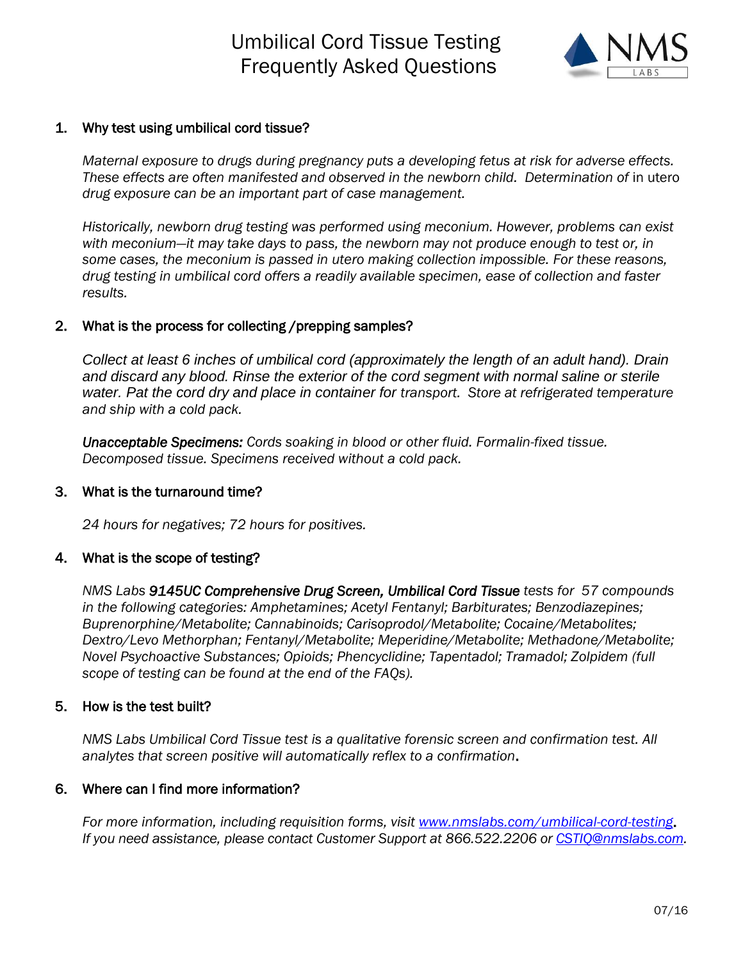# Umbilical Cord Tissue Testing Frequently Asked Questions



## 1. Why test using umbilical cord tissue?

*Maternal exposure to drugs during pregnancy puts a developing fetus at risk for adverse effects. These effects are often manifested and observed in the newborn child. Determination of* in utero *drug exposure can be an important part of case management.* 

*Historically, newborn drug testing was performed using meconium. However, problems can exist with meconium—it may take days to pass, the newborn may not produce enough to test or, in some cases, the meconium is passed in utero making collection impossible. For these reasons, drug testing in umbilical cord offers a readily available specimen, ease of collection and faster results.*

# 2. What is the process for collecting /prepping samples?

*Collect at least 6 inches of umbilical cord (approximately the length of an adult hand). Drain and discard any blood. Rinse the exterior of the cord segment with normal saline or sterile water. Pat the cord dry and place in container for transport. Store at refrigerated temperature and ship with a cold pack.*

*Unacceptable Specimens: Cords soaking in blood or other fluid. Formalin-fixed tissue. Decomposed tissue. Specimens received without a cold pack.* 

### 3. What is the turnaround time?

*24 hours for negatives; 72 hours for positives.*

# 4. What is the scope of testing?

*NMS Labs 9145UC Comprehensive Drug Screen, Umbilical Cord Tissue tests for 57 compounds in the following categories: Amphetamines; Acetyl Fentanyl; Barbiturates; Benzodiazepines; Buprenorphine/Metabolite; Cannabinoids; Carisoprodol/Metabolite; Cocaine/Metabolites; Dextro/Levo Methorphan; Fentanyl/Metabolite; Meperidine/Metabolite; Methadone/Metabolite; Novel Psychoactive Substances; Opioids; Phencyclidine; Tapentadol; Tramadol; Zolpidem (full scope of testing can be found at the end of the FAQs).*

### 5. How is the test built?

*NMS Labs Umbilical Cord Tissue test is a qualitative forensic screen and confirmation test. All analytes that screen positive will automatically reflex to a confirmation*.

### 6. Where can I find more information?

*For more information, including requisition forms, visit [www.nmslabs.com/umbilical-cord-testing](http://www.nmslabs.com/umbilical-cord-testing)*. *If you need assistance, please contact Customer Support at 866.522.2206 or [CSTIQ@nmslabs.com.](mailto:CSTIQ@nmslabs.com)*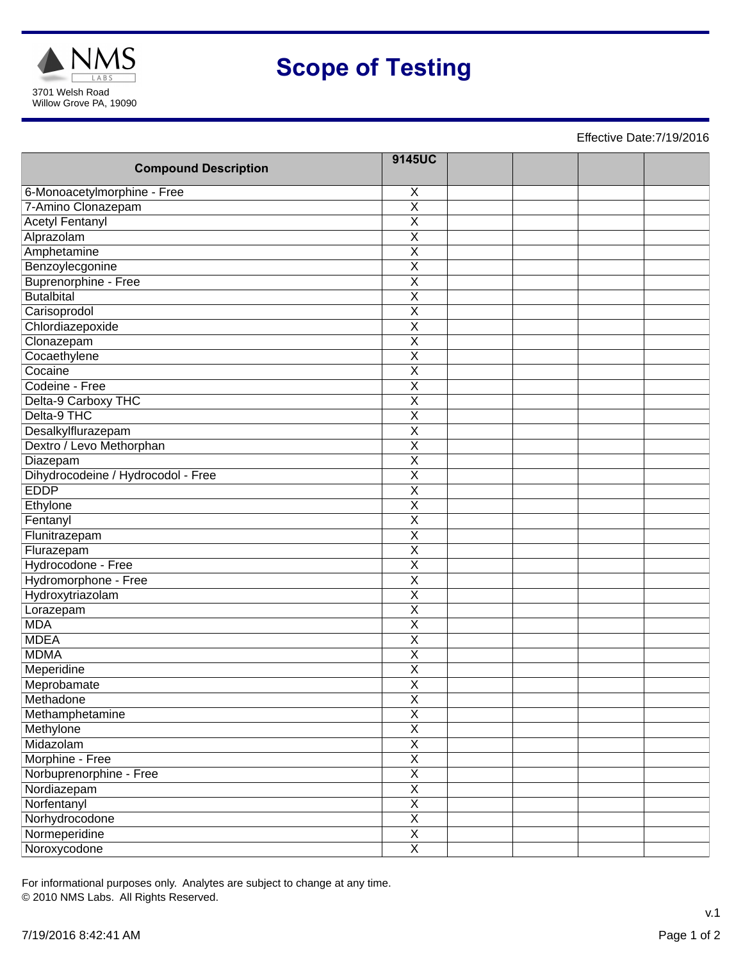

# **Scope of Testing**

Effective Date:7/19/2016

| <b>Compound Description</b>        | 9145UC                  |  |  |
|------------------------------------|-------------------------|--|--|
| 6-Monoacetylmorphine - Free        | $\overline{X}$          |  |  |
| 7-Amino Clonazepam                 | $\overline{\mathsf{x}}$ |  |  |
| <b>Acetyl Fentanyl</b>             | $\overline{\mathsf{x}}$ |  |  |
| Alprazolam                         | $\overline{\mathsf{x}}$ |  |  |
| Amphetamine                        | $\overline{X}$          |  |  |
| Benzoylecgonine                    | $\overline{\mathsf{x}}$ |  |  |
| <b>Buprenorphine - Free</b>        | $\overline{\mathsf{x}}$ |  |  |
| <b>Butalbital</b>                  | $\overline{\mathsf{x}}$ |  |  |
| Carisoprodol                       | $\overline{\mathsf{x}}$ |  |  |
| Chlordiazepoxide                   | $\overline{X}$          |  |  |
| Clonazepam                         | $\overline{\mathsf{x}}$ |  |  |
| Cocaethylene                       | $\overline{\mathsf{x}}$ |  |  |
| Cocaine                            | $\overline{\mathsf{x}}$ |  |  |
| Codeine - Free                     | $\overline{\mathsf{X}}$ |  |  |
| Delta-9 Carboxy THC                | $\overline{\mathsf{X}}$ |  |  |
| Delta-9 THC                        | $\overline{\mathsf{x}}$ |  |  |
| Desalkylflurazepam                 | $\overline{\sf x}$      |  |  |
| Dextro / Levo Methorphan           | $\overline{\mathsf{x}}$ |  |  |
| Diazepam                           | $\overline{\mathsf{x}}$ |  |  |
| Dihydrocodeine / Hydrocodol - Free | $\overline{\mathsf{X}}$ |  |  |
| <b>EDDP</b>                        | $\overline{\mathsf{x}}$ |  |  |
| Ethylone                           | $\overline{\mathsf{x}}$ |  |  |
| Fentanyl                           | $\overline{\mathsf{x}}$ |  |  |
| Flunitrazepam                      | $\overline{\mathsf{x}}$ |  |  |
| Flurazepam                         | $\overline{\mathsf{X}}$ |  |  |
| Hydrocodone - Free                 | $\overline{\mathsf{x}}$ |  |  |
| Hydromorphone - Free               | $\overline{\mathsf{x}}$ |  |  |
| Hydroxytriazolam                   | $\overline{\mathsf{x}}$ |  |  |
| Lorazepam                          | $\overline{\mathsf{x}}$ |  |  |
| <b>MDA</b>                         | $\overline{\mathsf{x}}$ |  |  |
| <b>MDEA</b>                        | $\overline{\sf x}$      |  |  |
| <b>MDMA</b>                        | $\overline{\mathsf{x}}$ |  |  |
| Meperidine                         | $\overline{\mathsf{x}}$ |  |  |
| Meprobamate                        | $\overline{\mathsf{x}}$ |  |  |
| Methadone                          | X                       |  |  |
| Methamphetamine                    | $\overline{\mathsf{x}}$ |  |  |
| Methylone                          | $\overline{\mathsf{x}}$ |  |  |
| Midazolam                          | $\overline{\mathsf{x}}$ |  |  |
| Morphine - Free                    | $\overline{\mathsf{x}}$ |  |  |
| Norbuprenorphine - Free            | $\overline{\mathsf{x}}$ |  |  |
| Nordiazepam                        | $\overline{\mathsf{x}}$ |  |  |
| Norfentanyl                        | $\overline{\mathsf{x}}$ |  |  |
| Norhydrocodone                     | $\overline{\mathsf{x}}$ |  |  |
| Normeperidine                      | $\overline{\mathsf{x}}$ |  |  |
| Noroxycodone                       | $\overline{\mathsf{x}}$ |  |  |

For informational purposes only. Analytes are subject to change at any time. © 2010 NMS Labs. All Rights Reserved.